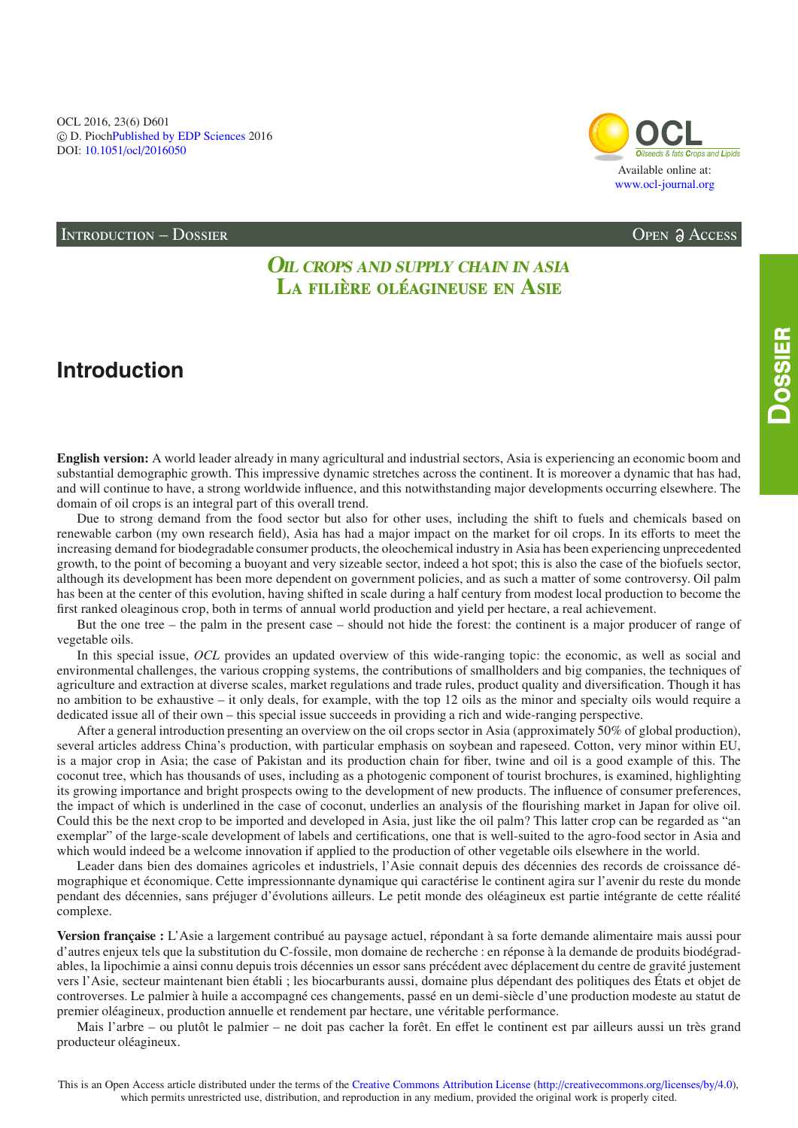OCL 2016, 23(6) D601 © D. PiochPublished by EDP Sciences 2016 DOI: 10.1051/ocl/2016050



OPEN & ACCESS

### **INTRODUCTION - DOSSIER**

## **OIL CROPS AND SUPPLY CHAIN IN ASIA** LA FILIÈRE OLÉAGINEUSE EN ASIE

# **Introduction**

DOSSIER

**English version:** A world leader already in many agricultural and industrial sectors, Asia is experiencing an economic boom and substantial demographic growth. This impressive dynamic stretches across the continent. It is moreover a dynamic that has had, and will continue to have, a strong worldwide influence, and this notwithstanding major developments occurring elsewhere. The domain of oil crops is an integral part of this overall trend.

Due to strong demand from the food sector but also for other uses, including the shift to fuels and chemicals based on renewable carbon (my own research field), Asia has had a major impact on the market for oil crops. In its efforts to meet the increasing demand for biodegradable consumer products, the oleochemical industry in Asia has been experiencing unprecedented growth, to the point of becoming a buoyant and very sizeable sector, indeed a hot spot; this is also the case of the biofuels sector, although its development has been more dependent on government policies, and as such a matter of some controversy. Oil palm has been at the center of this evolution, having shifted in scale during a half century from modest local production to become the first ranked oleaginous crop, both in terms of annual world production and yield per hectare, a real achievement.

But the one tree – the palm in the present case – should not hide the forest: the continent is a major producer of range of vegetable oils.

In this special issue, OCL provides an updated overview of this wide-ranging topic: the economic, as well as social and environmental challenges, the various cropping systems, the contributions of smallholders and big companies, the techniques of agriculture and extraction at diverse scales, market regulations and trade rules, product quality and diversification. Though it has no ambition to be exhaustive – it only deals, for example, with the top 12 oils as the minor and specialty oils would require a dedicated issue all of their own – this special issue succeeds in providing a rich and wide-ranging perspective.

After a general introduction presenting an overview on the oil crops sector in Asia (approximately 50% of global production), several articles address China's production, with particular emphasis on soybean and rapeseed. Cotton, very minor within EU, is a major crop in Asia; the case of Pakistan and its production chain for fiber, twine and oil is a good example of this. The coconut tree, which has thousands of uses, including as a photogenic component of tourist brochures, is examined, highlighting its growing importance and bright prospects owing to the development of new products. The influence of consumer preferences, the impact of which is underlined in the case of coconut, underlies an analysis of the flourishing market in Japan for olive oil. Could this be the next crop to be imported and developed in Asia, just like the oil palm? This latter crop can be regarded as "an exemplar" of the large-scale development of labels and certifications, one that is well-suited to the agro-food sector in Asia and which would indeed be a welcome innovation if applied to the production of other vegetable oils elsewhere in the world.

Leader dans bien des domaines agricoles et industriels, l'Asie connait depuis des décennies des records de croissance démographique et économique. Cette impressionnante dynamique qui caractérise le continent agira sur l'avenir du reste du monde pendant des décennies, sans préjuger d'évolutions ailleurs. Le petit monde des oléagineux est partie intégrante de cette réalité complexe.

Version française : L'Asie a largement contribué au paysage actuel, répondant à sa forte demande alimentaire mais aussi pour d'autres enjeux tels que la substitution du C-fossile, mon domaine de recherche : en réponse à la demande de produits biodégradables, la lipochimie a ainsi connu depuis trois décennies un essor sans précédent avec déplacement du centre de gravité justement vers l'Asie, secteur maintenant bien établi ; les biocarburants aussi, domaine plus dépendant des politiques des États et objet de controverses. Le palmier à huile a accompagné ces changements, passé en un demi-siècle d'une production modeste au statut de premier oléagineux, production annuelle et rendement par hectare, une véritable performance.

Mais l'arbre – ou plutôt le palmier – ne doit pas cacher la forêt. En effet le continent est par ailleurs aussi un très grand producteur oléagineux.